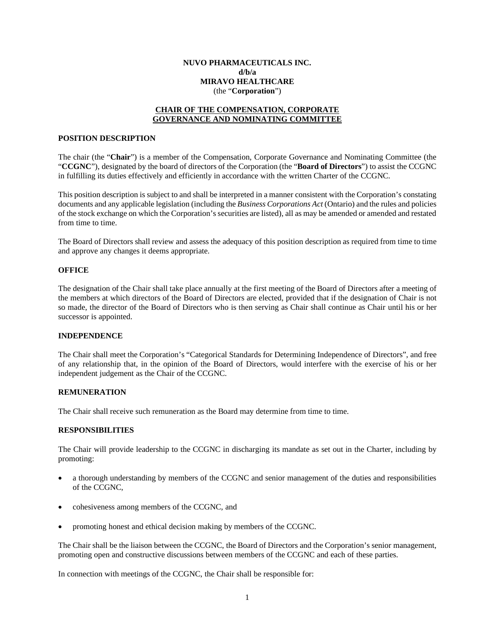## **NUVO PHARMACEUTICALS INC. d/b/a MIRAVO HEALTHCARE** (the "**Corporation**")

# **CHAIR OF THE COMPENSATION, CORPORATE GOVERNANCE AND NOMINATING COMMITTEE**

## **POSITION DESCRIPTION**

The chair (the "**Chair**") is a member of the Compensation, Corporate Governance and Nominating Committee (the "**CCGNC**"), designated by the board of directors of the Corporation (the "**Board of Directors**") to assist the CCGNC in fulfilling its duties effectively and efficiently in accordance with the written Charter of the CCGNC.

This position description is subject to and shall be interpreted in a manner consistent with the Corporation's constating documents and any applicable legislation (including the *Business Corporations Act* (Ontario) and the rules and policies of the stock exchange on which the Corporation's securities are listed), all as may be amended or amended and restated from time to time.

The Board of Directors shall review and assess the adequacy of this position description as required from time to time and approve any changes it deems appropriate.

#### **OFFICE**

The designation of the Chair shall take place annually at the first meeting of the Board of Directors after a meeting of the members at which directors of the Board of Directors are elected, provided that if the designation of Chair is not so made, the director of the Board of Directors who is then serving as Chair shall continue as Chair until his or her successor is appointed.

### **INDEPENDENCE**

The Chair shall meet the Corporation's "Categorical Standards for Determining Independence of Directors", and free of any relationship that, in the opinion of the Board of Directors, would interfere with the exercise of his or her independent judgement as the Chair of the CCGNC.

### **REMUNERATION**

The Chair shall receive such remuneration as the Board may determine from time to time.

## **RESPONSIBILITIES**

The Chair will provide leadership to the CCGNC in discharging its mandate as set out in the Charter, including by promoting:

- a thorough understanding by members of the CCGNC and senior management of the duties and responsibilities of the CCGNC,
- cohesiveness among members of the CCGNC, and
- promoting honest and ethical decision making by members of the CCGNC.

The Chair shall be the liaison between the CCGNC, the Board of Directors and the Corporation's senior management, promoting open and constructive discussions between members of the CCGNC and each of these parties.

In connection with meetings of the CCGNC, the Chair shall be responsible for: